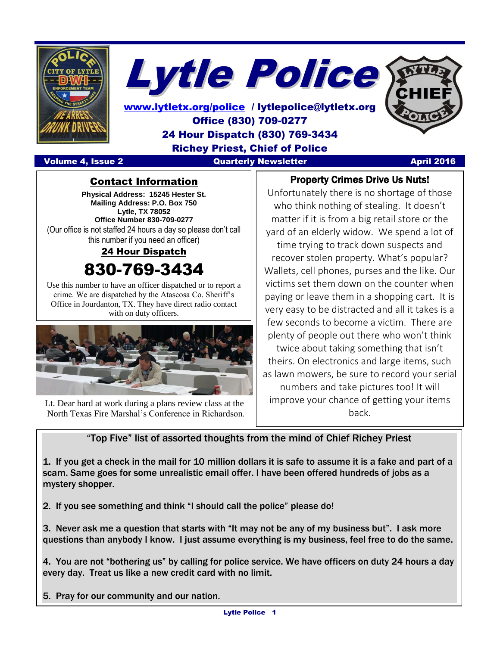



[www.lytletx.org/police](http://www.lytletx.org/police) / lytlepolice@lytletx.org Office (830) 709-0277 24 Hour Dispatch (830) 769-3434 Richey Priest, Chief of Police Volume 4, Issue 2 Quarterly Newsletter April 2016

#### Property Crimes Drive Us Nuts!

Contact Information

**Physical Address: 15245 Hester St. Mailing Address: P.O. Box 750 Lytle, TX 78052 Office Number 830-709-0277** (Our office is not staffed 24 hours a day so please don't call this number if you need an officer)

24 Hour Dispatch

# 830-769-3434

Use this number to have an officer dispatched or to report a crime. We are dispatched by the Atascosa Co. Sheriff's Office in Jourdanton, TX. They have direct radio contact with on duty officers.



 Lt. Dear hard at work during a plans review class at the North Texas Fire Marshal's Conference in Richardson.

Unfortunately there is no shortage of those who think nothing of stealing. It doesn't matter if it is from a big retail store or the yard of an elderly widow. We spend a lot of

time trying to track down suspects and recover stolen property. What's popular? Wallets, cell phones, purses and the like. Our victims set them down on the counter when paying or leave them in a shopping cart. It is very easy to be distracted and all it takes is a few seconds to become a victim. There are plenty of people out there who won't think

twice about taking something that isn't theirs. On electronics and large items, such as lawn mowers, be sure to record your serial numbers and take pictures too! It will improve your chance of getting your items back.

"Top Five" list of assorted thoughts from the mind of Chief Richey Priest

1. If you get a check in the mail for 10 million dollars it is safe to assume it is a fake and part of a scam. Same goes for some unrealistic email offer. I have been offered hundreds of jobs as a mystery shopper.

2. If you see something and think "I should call the police" please do!

3. Never ask me a question that starts with "It may not be any of my business but". I ask more questions than anybody I know. I just assume everything is my business, feel free to do the same.

4. You are not "bothering us" by calling for police service. We have officers on duty 24 hours a day every day. Treat us like a new credit card with no limit.

5. Pray for our community and our nation.